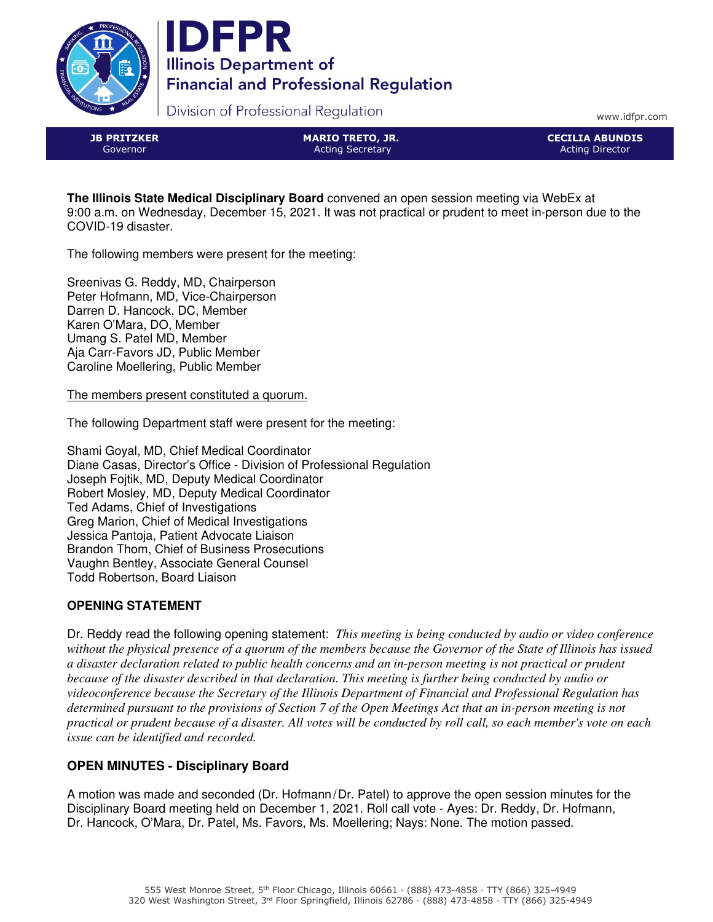



Division of Professional Regulation

www.idfpr.com

JB PRITZKER Governor

MARIO TRETO, JR. Acting Secretary

CECILIA ABUNDIS Acting Director

**The Illinois State Medical Disciplinary Board** convened an open session meeting via WebEx at 9:00 a.m. on Wednesday, December 15, 2021. It was not practical or prudent to meet in-person due to the COVID-19 disaster.

The following members were present for the meeting:

Sreenivas G. Reddy, MD, Chairperson Peter Hofmann, MD, Vice-Chairperson Darren D. Hancock, DC, Member Karen O'Mara, DO, Member Umang S. Patel MD, Member Aja Carr-Favors JD, Public Member Caroline Moellering, Public Member

The members present constituted a quorum.

The following Department staff were present for the meeting:

Shami Goyal, MD, Chief Medical Coordinator Diane Casas, Director's Office - Division of Professional Regulation Joseph Fojtik, MD, Deputy Medical Coordinator Robert Mosley, MD, Deputy Medical Coordinator Ted Adams, Chief of Investigations Greg Marion, Chief of Medical Investigations Jessica Pantoja, Patient Advocate Liaison Brandon Thom, Chief of Business Prosecutions Vaughn Bentley, Associate General Counsel Todd Robertson, Board Liaison

# **OPENING STATEMENT**

Dr. Reddy read the following opening statement: *This meeting is being conducted by audio or video conference without the physical presence of a quorum of the members because the Governor of the State of Illinois has issued a disaster declaration related to public health concerns and an in-person meeting is not practical or prudent because of the disaster described in that declaration. This meeting is further being conducted by audio or videoconference because the Secretary of the Illinois Department of Financial and Professional Regulation has determined pursuant to the provisions of Section 7 of the Open Meetings Act that an in-person meeting is not practical or prudent because of a disaster. All votes will be conducted by roll call, so each member's vote on each issue can be identified and recorded.*

# **OPEN MINUTES - Disciplinary Board**

A motion was made and seconded (Dr. Hofmann/Dr. Patel) to approve the open session minutes for the Disciplinary Board meeting held on December 1, 2021. Roll call vote - Ayes: Dr. Reddy, Dr. Hofmann, Dr. Hancock, O'Mara, Dr. Patel, Ms. Favors, Ms. Moellering; Nays: None. The motion passed.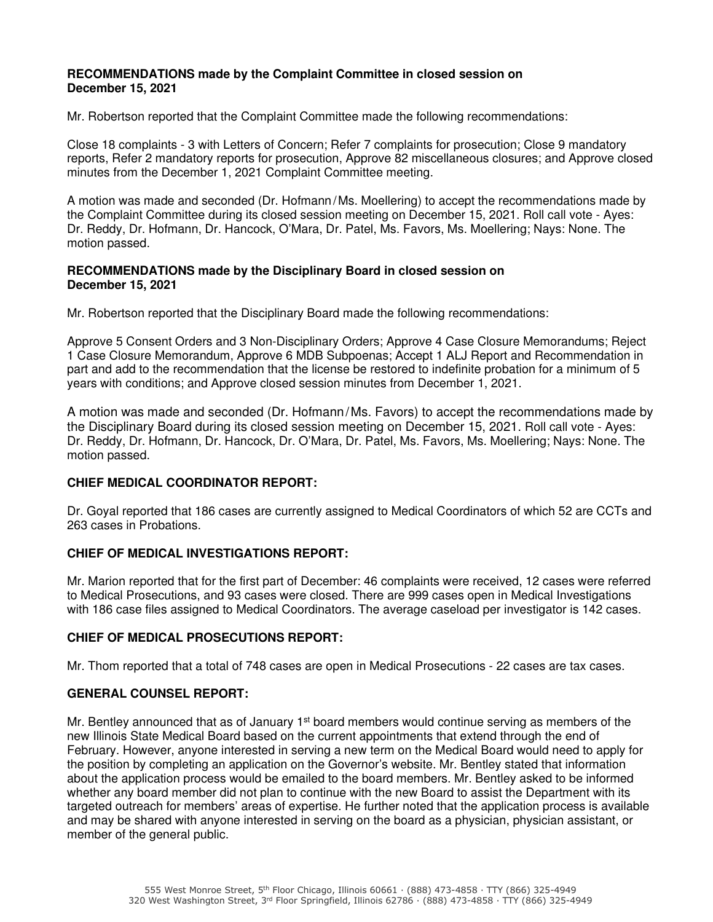#### **RECOMMENDATIONS made by the Complaint Committee in closed session on December 15, 2021**

Mr. Robertson reported that the Complaint Committee made the following recommendations:

Close 18 complaints - 3 with Letters of Concern; Refer 7 complaints for prosecution; Close 9 mandatory reports, Refer 2 mandatory reports for prosecution, Approve 82 miscellaneous closures; and Approve closed minutes from the December 1, 2021 Complaint Committee meeting.

A motion was made and seconded (Dr. Hofmann/Ms. Moellering) to accept the recommendations made by the Complaint Committee during its closed session meeting on December 15, 2021. Roll call vote - Ayes: Dr. Reddy, Dr. Hofmann, Dr. Hancock, O'Mara, Dr. Patel, Ms. Favors, Ms. Moellering; Nays: None. The motion passed.

#### **RECOMMENDATIONS made by the Disciplinary Board in closed session on December 15, 2021**

Mr. Robertson reported that the Disciplinary Board made the following recommendations:

Approve 5 Consent Orders and 3 Non-Disciplinary Orders; Approve 4 Case Closure Memorandums; Reject 1 Case Closure Memorandum, Approve 6 MDB Subpoenas; Accept 1 ALJ Report and Recommendation in part and add to the recommendation that the license be restored to indefinite probation for a minimum of 5 years with conditions; and Approve closed session minutes from December 1, 2021.

A motion was made and seconded (Dr. Hofmann/Ms. Favors) to accept the recommendations made by the Disciplinary Board during its closed session meeting on December 15, 2021. Roll call vote - Ayes: Dr. Reddy, Dr. Hofmann, Dr. Hancock, Dr. O'Mara, Dr. Patel, Ms. Favors, Ms. Moellering; Nays: None. The motion passed.

#### **CHIEF MEDICAL COORDINATOR REPORT:**

Dr. Goyal reported that 186 cases are currently assigned to Medical Coordinators of which 52 are CCTs and 263 cases in Probations.

## **CHIEF OF MEDICAL INVESTIGATIONS REPORT:**

Mr. Marion reported that for the first part of December: 46 complaints were received, 12 cases were referred to Medical Prosecutions, and 93 cases were closed. There are 999 cases open in Medical Investigations with 186 case files assigned to Medical Coordinators. The average caseload per investigator is 142 cases.

#### **CHIEF OF MEDICAL PROSECUTIONS REPORT:**

Mr. Thom reported that a total of 748 cases are open in Medical Prosecutions - 22 cases are tax cases.

## **GENERAL COUNSEL REPORT:**

Mr. Bentley announced that as of January  $1<sup>st</sup>$  board members would continue serving as members of the new Illinois State Medical Board based on the current appointments that extend through the end of February. However, anyone interested in serving a new term on the Medical Board would need to apply for the position by completing an application on the Governor's website. Mr. Bentley stated that information about the application process would be emailed to the board members. Mr. Bentley asked to be informed whether any board member did not plan to continue with the new Board to assist the Department with its targeted outreach for members' areas of expertise. He further noted that the application process is available and may be shared with anyone interested in serving on the board as a physician, physician assistant, or member of the general public.